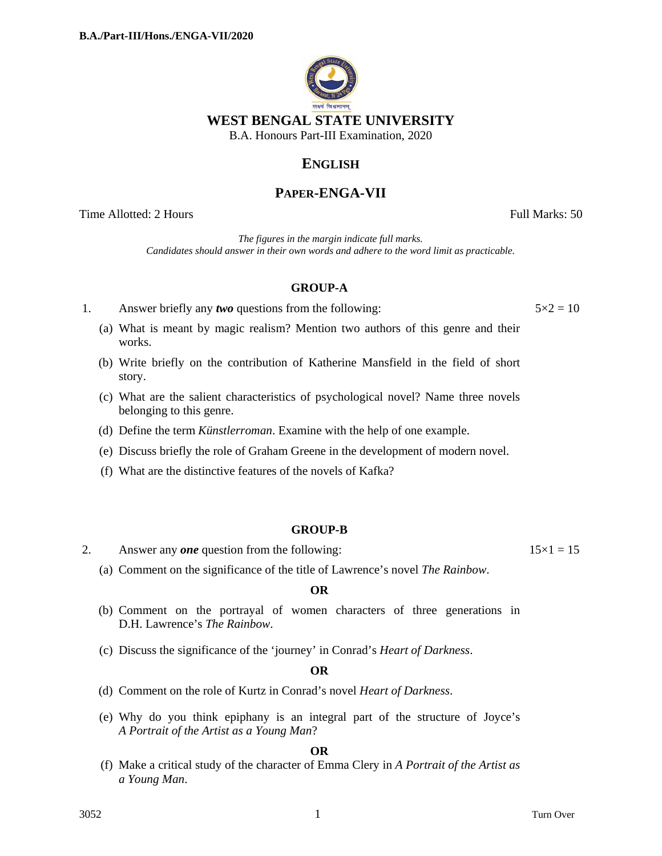

## **ENGLISH**

# **PAPER-ENGA-VII**

Time Allotted: 2 Hours **Full Marks:** 50

*The figures in the margin indicate full marks. Candidates should answer in their own words and adhere to the word limit as practicable.*

## **GROUP-A**

1. Answer briefly any *two* questions from the following:  $5 \times 2 = 10$ 

- (a) What is meant by magic realism? Mention two authors of this genre and their works.
- (b) Write briefly on the contribution of Katherine Mansfield in the field of short story.
- (c) What are the salient characteristics of psychological novel? Name three novels belonging to this genre.
- (d) Define the term *Künstlerroman*. Examine with the help of one example.
- (e) Discuss briefly the role of Graham Greene in the development of modern novel.
- (f) What are the distinctive features of the novels of Kafka?

## **GROUP-B**

2. Answer any *one* question from the following:  $15 \times 1 = 15$ 

(a) Comment on the significance of the title of Lawrence's novel *The Rainbow*.

#### **OR**

- (b) Comment on the portrayal of women characters of three generations in D.H. Lawrence's *The Rainbow*.
- (c) Discuss the significance of the 'journey' in Conrad's *Heart of Darkness*.

#### **OR**

- (d) Comment on the role of Kurtz in Conrad's novel *Heart of Darkness*.
- (e) Why do you think epiphany is an integral part of the structure of Joyce's *A Portrait of the Artist as a Young Man*?

#### **OR**

(f) Make a critical study of the character of Emma Clery in *A Portrait of the Artist as a Young Man*.